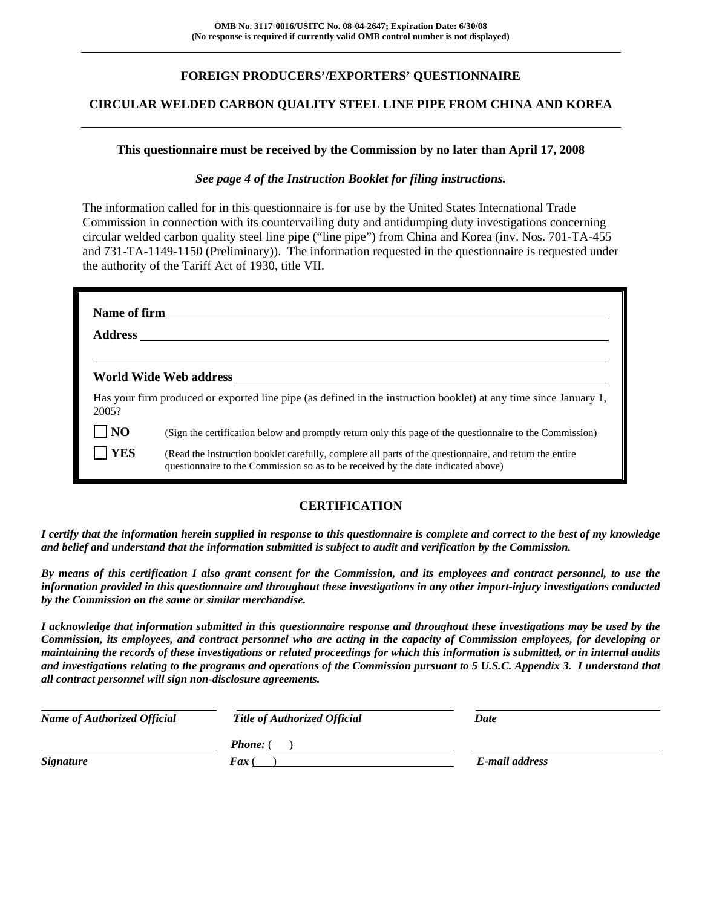## **FOREIGN PRODUCERS'/EXPORTERS' QUESTIONNAIRE**

### **CIRCULAR WELDED CARBON QUALITY STEEL LINE PIPE FROM CHINA AND KOREA**

#### **This questionnaire must be received by the Commission by no later than April 17, 2008**

#### *See page 4 of the Instruction Booklet for filing instructions.*

The information called for in this questionnaire is for use by the United States International Trade Commission in connection with its countervailing duty and antidumping duty investigations concerning circular welded carbon quality steel line pipe ("line pipe") from China and Korea (inv. Nos. 701-TA-455 and 731-TA-1149-1150 (Preliminary)). The information requested in the questionnaire is requested under the authority of the Tariff Act of 1930, title VII.

|            | World Wide Web address                                                                                                                                                                       |  |  |  |  |
|------------|----------------------------------------------------------------------------------------------------------------------------------------------------------------------------------------------|--|--|--|--|
| 2005?      | Has your firm produced or exported line pipe (as defined in the instruction booklet) at any time since January 1,                                                                            |  |  |  |  |
| NO         | (Sign the certification below and promptly return only this page of the questionnaire to the Commission)                                                                                     |  |  |  |  |
| <b>YES</b> | (Read the instruction booklet carefully, complete all parts of the questionnaire, and return the entire<br>questionnaire to the Commission so as to be received by the date indicated above) |  |  |  |  |

#### **CERTIFICATION**

*I certify that the information herein supplied in response to this questionnaire is complete and correct to the best of my knowledge and belief and understand that the information submitted is subject to audit and verification by the Commission.* 

*By means of this certification I also grant consent for the Commission, and its employees and contract personnel, to use the information provided in this questionnaire and throughout these investigations in any other import-injury investigations conducted by the Commission on the same or similar merchandise.* 

*I acknowledge that information submitted in this questionnaire response and throughout these investigations may be used by the Commission, its employees, and contract personnel who are acting in the capacity of Commission employees, for developing or maintaining the records of these investigations or related proceedings for which this information is submitted, or in internal audits and investigations relating to the programs and operations of the Commission pursuant to 5 U.S.C. Appendix 3. I understand that all contract personnel will sign non-disclosure agreements.* 

| <b>Name of Authorized Official</b> | Title of Authorized Official | Date           |
|------------------------------------|------------------------------|----------------|
|                                    | <b>Phone:</b> (              |                |
| <b>Signature</b>                   | <b>Fax</b> (                 | E-mail address |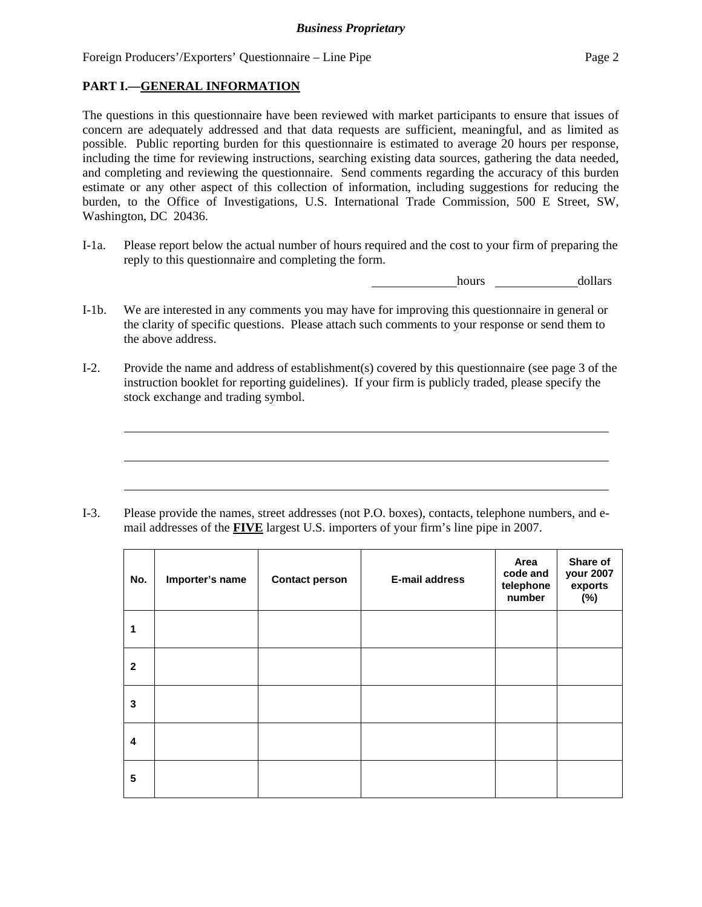#### **PART I.—GENERAL INFORMATION**

 $\overline{a}$ 

 $\overline{a}$ 

 $\overline{a}$ 

The questions in this questionnaire have been reviewed with market participants to ensure that issues of concern are adequately addressed and that data requests are sufficient, meaningful, and as limited as possible. Public reporting burden for this questionnaire is estimated to average 20 hours per response, including the time for reviewing instructions, searching existing data sources, gathering the data needed, and completing and reviewing the questionnaire. Send comments regarding the accuracy of this burden estimate or any other aspect of this collection of information, including suggestions for reducing the burden, to the Office of Investigations, U.S. International Trade Commission, 500 E Street, SW, Washington, DC 20436.

I-1a. Please report below the actual number of hours required and the cost to your firm of preparing the reply to this questionnaire and completing the form.

hours dollars

- I-1b. We are interested in any comments you may have for improving this questionnaire in general or the clarity of specific questions. Please attach such comments to your response or send them to the above address.
- I-2. Provide the name and address of establishment(s) covered by this questionnaire (see page 3 of the instruction booklet for reporting guidelines). If your firm is publicly traded, please specify the stock exchange and trading symbol.

I-3. Please provide the names, street addresses (not P.O. boxes), contacts, telephone numbers, and email addresses of the **FIVE** largest U.S. importers of your firm's line pipe in 2007.

| No.          | Importer's name | <b>Contact person</b> | <b>E-mail address</b> | Area<br>code and<br>telephone<br>number | Share of<br>your 2007<br>exports<br>$(\%)$ |
|--------------|-----------------|-----------------------|-----------------------|-----------------------------------------|--------------------------------------------|
| 1            |                 |                       |                       |                                         |                                            |
| $\mathbf{2}$ |                 |                       |                       |                                         |                                            |
| 3            |                 |                       |                       |                                         |                                            |
| 4            |                 |                       |                       |                                         |                                            |
| 5            |                 |                       |                       |                                         |                                            |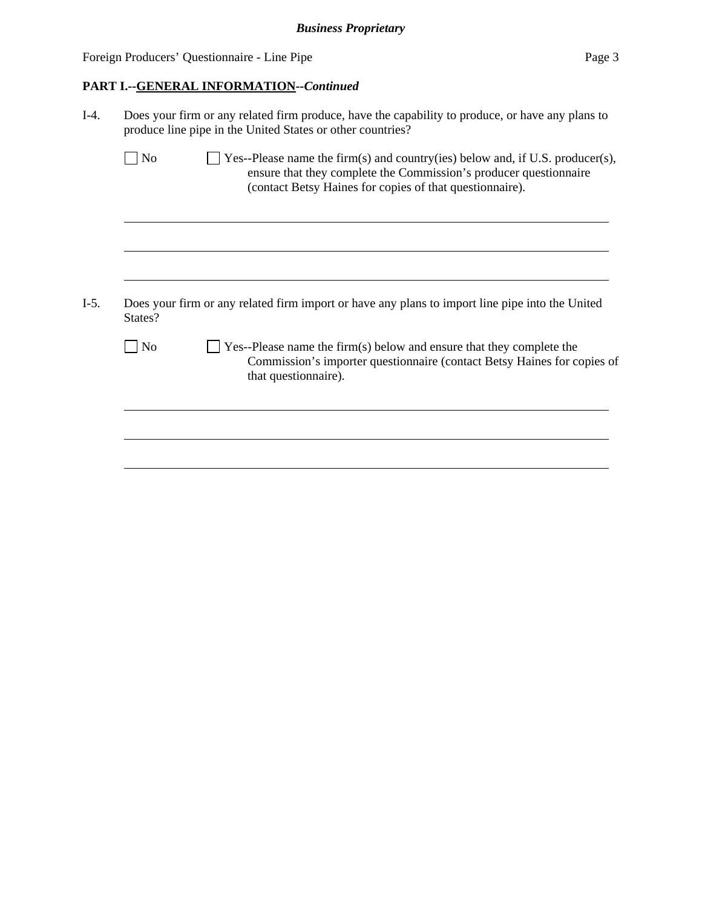## **PART I.--GENERAL INFORMATION***--Continued*

| $I-4.$ | Does your firm or any related firm produce, have the capability to produce, or have any plans to<br>produce line pipe in the United States or other countries? |                                                                                                                                                                                                                          |  |  |  |
|--------|----------------------------------------------------------------------------------------------------------------------------------------------------------------|--------------------------------------------------------------------------------------------------------------------------------------------------------------------------------------------------------------------------|--|--|--|
|        | N <sub>o</sub>                                                                                                                                                 | $\exists$ Yes--Please name the firm(s) and country(ies) below and, if U.S. producer(s),<br>ensure that they complete the Commission's producer questionnaire<br>(contact Betsy Haines for copies of that questionnaire). |  |  |  |
| $I-5.$ | States?                                                                                                                                                        | Does your firm or any related firm import or have any plans to import line pipe into the United                                                                                                                          |  |  |  |
|        | No                                                                                                                                                             | $\exists$ Yes--Please name the firm(s) below and ensure that they complete the<br>Commission's importer questionnaire (contact Betsy Haines for copies of<br>that questionnaire).                                        |  |  |  |
|        |                                                                                                                                                                |                                                                                                                                                                                                                          |  |  |  |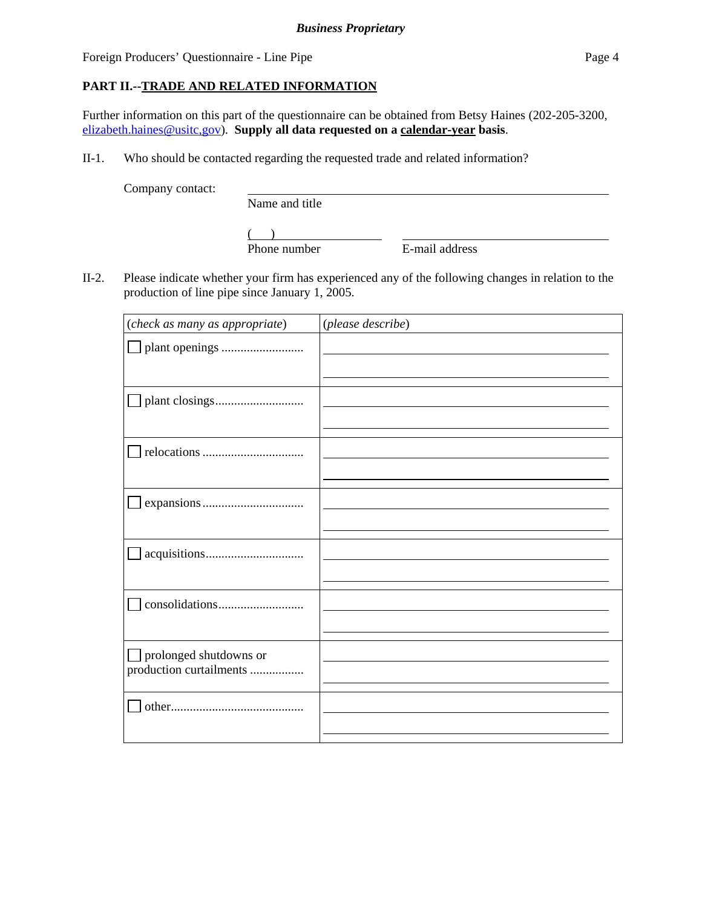## **PART II.--TRADE AND RELATED INFORMATION**

Further information on this part of the questionnaire can be obtained from Betsy Haines (202-205-3200, elizabeth.haines@usitc,gov). **Supply all data requested on a calendar-year basis**.

II-1. Who should be contacted regarding the requested trade and related information?

Company contact:

Name and title

 $($  ) Phone number E-mail address

II-2. Please indicate whether your firm has experienced any of the following changes in relation to the production of line pipe since January 1, 2005.

| (check as many as appropriate)                    | (please describe) |
|---------------------------------------------------|-------------------|
|                                                   |                   |
|                                                   |                   |
|                                                   |                   |
|                                                   |                   |
|                                                   |                   |
|                                                   |                   |
| prolonged shutdowns or<br>production curtailments |                   |
|                                                   |                   |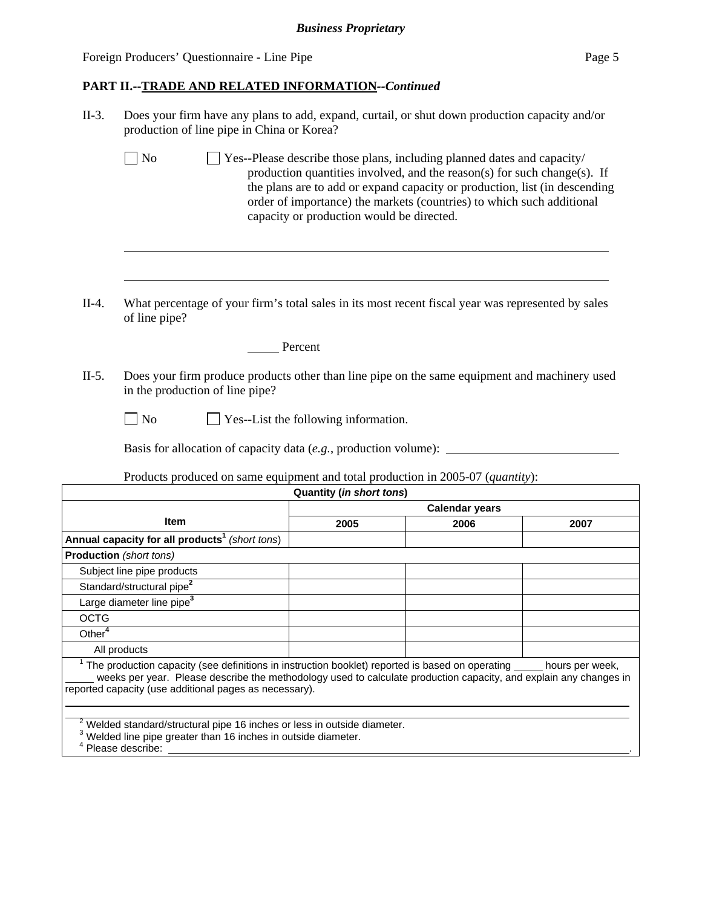## **PART II.--TRADE AND RELATED INFORMATION***--Continued*

| $II-3.$            | Does your firm have any plans to add, expand, curtail, or shut down production capacity and/or<br>production of line pipe in China or Korea?                                |                                                                  |                                                                                                                                                                                                                                                                                                            |                 |  |
|--------------------|-----------------------------------------------------------------------------------------------------------------------------------------------------------------------------|------------------------------------------------------------------|------------------------------------------------------------------------------------------------------------------------------------------------------------------------------------------------------------------------------------------------------------------------------------------------------------|-----------------|--|
|                    | $\Box$ No                                                                                                                                                                   | capacity or production would be directed.                        | Yes--Please describe those plans, including planned dates and capacity/<br>production quantities involved, and the reason(s) for such change(s). If<br>the plans are to add or expand capacity or production, list (in descending<br>order of importance) the markets (countries) to which such additional |                 |  |
| $II-4.$            | What percentage of your firm's total sales in its most recent fiscal year was represented by sales<br>of line pipe?                                                         |                                                                  |                                                                                                                                                                                                                                                                                                            |                 |  |
|                    |                                                                                                                                                                             | Percent                                                          |                                                                                                                                                                                                                                                                                                            |                 |  |
| $II-5.$            | Does your firm produce products other than line pipe on the same equipment and machinery used<br>in the production of line pipe?                                            |                                                                  |                                                                                                                                                                                                                                                                                                            |                 |  |
|                    | $\Box$ No<br>Products produced on same equipment and total production in 2005-07 (quantity):                                                                                | Yes--List the following information.<br>Quantity (in short tons) |                                                                                                                                                                                                                                                                                                            |                 |  |
|                    |                                                                                                                                                                             |                                                                  | <b>Calendar years</b>                                                                                                                                                                                                                                                                                      |                 |  |
|                    | Item                                                                                                                                                                        | 2005                                                             | 2006                                                                                                                                                                                                                                                                                                       | 2007            |  |
|                    | Annual capacity for all products <sup>1</sup> (short tons)                                                                                                                  |                                                                  |                                                                                                                                                                                                                                                                                                            |                 |  |
|                    | Production (short tons)                                                                                                                                                     |                                                                  |                                                                                                                                                                                                                                                                                                            |                 |  |
|                    | Subject line pipe products                                                                                                                                                  |                                                                  |                                                                                                                                                                                                                                                                                                            |                 |  |
|                    | Standard/structural pipe <sup>2</sup>                                                                                                                                       |                                                                  |                                                                                                                                                                                                                                                                                                            |                 |  |
|                    | Large diameter line pipe <sup>3</sup>                                                                                                                                       |                                                                  |                                                                                                                                                                                                                                                                                                            |                 |  |
| <b>OCTG</b>        |                                                                                                                                                                             |                                                                  |                                                                                                                                                                                                                                                                                                            |                 |  |
| Other <sup>4</sup> |                                                                                                                                                                             |                                                                  |                                                                                                                                                                                                                                                                                                            |                 |  |
|                    | All products<br>$1$ The production capacity (see definitions in instruction booklet) reported is based on operating                                                         |                                                                  |                                                                                                                                                                                                                                                                                                            | hours per week, |  |
|                    | weeks per year. Please describe the methodology used to calculate production capacity, and explain any changes in<br>reported capacity (use additional pages as necessary). |                                                                  |                                                                                                                                                                                                                                                                                                            |                 |  |
|                    | <sup>2</sup> Welded standard/structural pipe 16 inches or less in outside diameter.                                                                                         |                                                                  |                                                                                                                                                                                                                                                                                                            |                 |  |

<sup>3</sup> Welded line pipe greater than 16 inches in outside diameter.

<sup>4</sup> Please describe:  $\frac{1}{2}$  **Please describe:**  $\frac{1}{2}$  **Please describe:**  $\frac{1}{2}$  **Please describe:**  $\frac{1}{2}$  **Please describe:**  $\frac{1}{2}$  **Please describe:**  $\frac{1}{2}$  **Please describe:**  $\frac{1}{2}$  **Please describe:**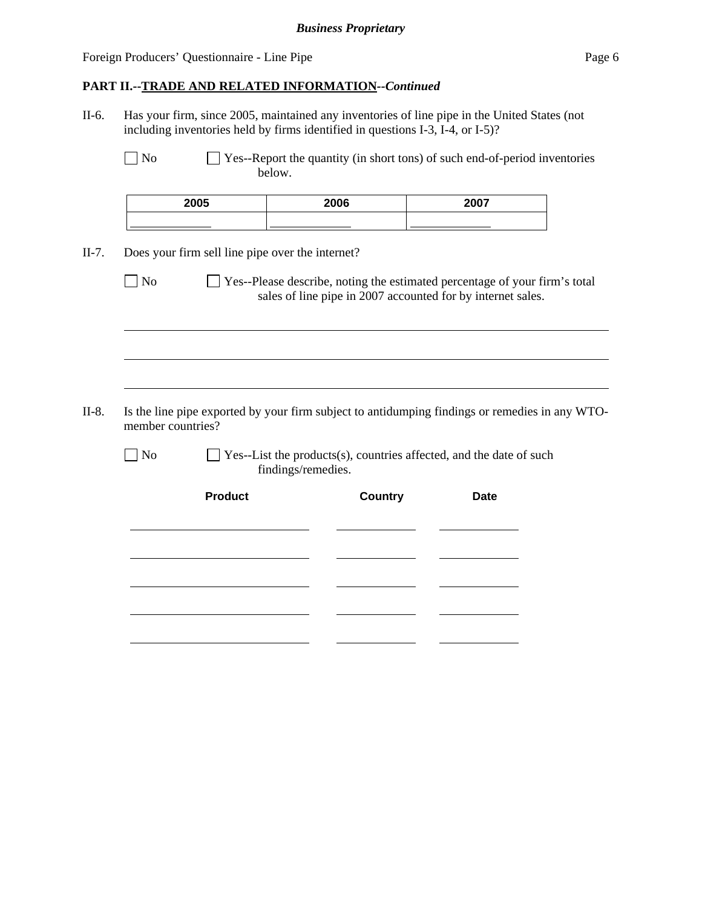#### *Business Proprietary*

Foreign Producers' Questionnaire - Line Pipe Page 6

#### **PART II.--TRADE AND RELATED INFORMATION***--Continued*

II-6. Has your firm, since 2005, maintained any inventories of line pipe in the United States (not including inventories held by firms identified in questions I-3, I-4, or I-5)?

l

 $\overline{a}$ 

 $\overline{a}$ 

No  $\Box$  Yes--Report the quantity (in short tons) of such end-of-period inventories below.

| 2005 | 2006 | 2007 |  |
|------|------|------|--|
|      |      |      |  |

II-7. Does your firm sell line pipe over the internet?

No Ses--Please describe, noting the estimated percentage of your firm's total sales of line pipe in 2007 accounted for by internet sales.

II-8. Is the line pipe exported by your firm subject to antidumping findings or remedies in any WTOmember countries?

 $\Box$  No  $\Box$  Yes--List the products(s), countries affected, and the date of such findings/remedies.

| <b>Product</b> | <b>Country</b> | <b>Date</b> |  |
|----------------|----------------|-------------|--|
|                |                |             |  |
|                |                |             |  |
|                |                |             |  |
|                |                |             |  |
|                |                |             |  |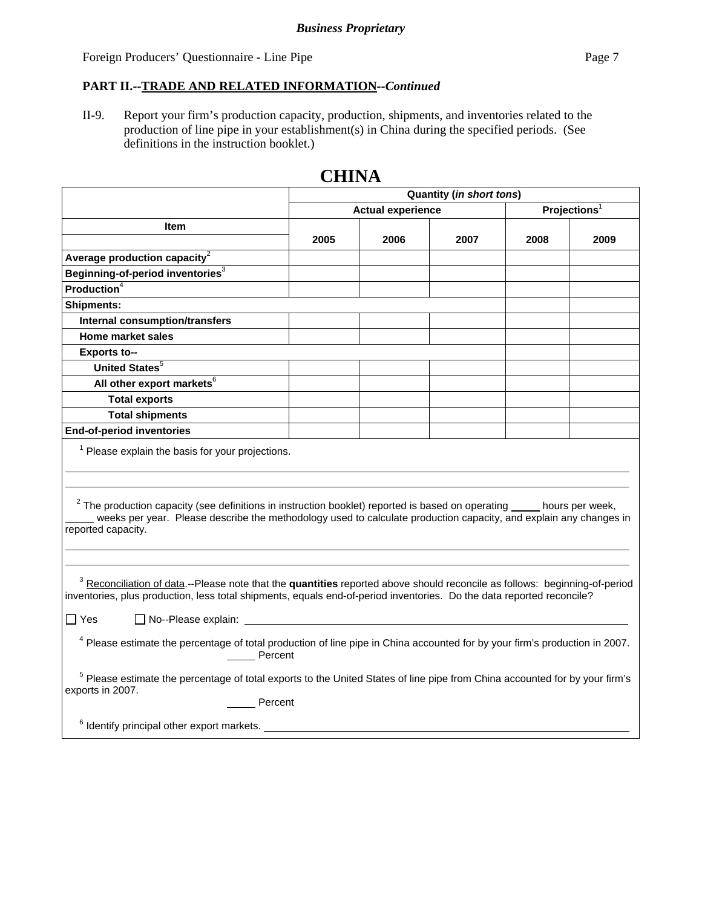## **PART II.--TRADE AND RELATED INFORMATION***--Continued*

II-9. Report your firm's production capacity, production, shipments, and inventories related to the production of line pipe in your establishment(s) in China during the specified periods. (See definitions in the instruction booklet.)

|                                                                                                                                                                                                                                                                       | <b>Quantity (in short tons)</b> |      |                          |      |      |  |
|-----------------------------------------------------------------------------------------------------------------------------------------------------------------------------------------------------------------------------------------------------------------------|---------------------------------|------|--------------------------|------|------|--|
|                                                                                                                                                                                                                                                                       | <b>Actual experience</b>        |      | Projections <sup>1</sup> |      |      |  |
| Item                                                                                                                                                                                                                                                                  |                                 |      |                          |      |      |  |
|                                                                                                                                                                                                                                                                       | 2005                            | 2006 | 2007                     | 2008 | 2009 |  |
| Average production capacity <sup>2</sup>                                                                                                                                                                                                                              |                                 |      |                          |      |      |  |
| Beginning-of-period inventories <sup>3</sup>                                                                                                                                                                                                                          |                                 |      |                          |      |      |  |
| <b>Production</b> <sup>4</sup>                                                                                                                                                                                                                                        |                                 |      |                          |      |      |  |
| <b>Shipments:</b>                                                                                                                                                                                                                                                     |                                 |      |                          |      |      |  |
| <b>Internal consumption/transfers</b>                                                                                                                                                                                                                                 |                                 |      |                          |      |      |  |
| Home market sales                                                                                                                                                                                                                                                     |                                 |      |                          |      |      |  |
| <b>Exports to--</b>                                                                                                                                                                                                                                                   |                                 |      |                          |      |      |  |
| United States <sup>5</sup>                                                                                                                                                                                                                                            |                                 |      |                          |      |      |  |
| All other export markets <sup>6</sup>                                                                                                                                                                                                                                 |                                 |      |                          |      |      |  |
| <b>Total exports</b>                                                                                                                                                                                                                                                  |                                 |      |                          |      |      |  |
| <b>Total shipments</b>                                                                                                                                                                                                                                                |                                 |      |                          |      |      |  |
| <b>End-of-period inventories</b>                                                                                                                                                                                                                                      |                                 |      |                          |      |      |  |
| $1$ Please explain the basis for your projections.                                                                                                                                                                                                                    |                                 |      |                          |      |      |  |
| $2$ The production capacity (see definitions in instruction booklet) reported is based on operating $\_\_$ hours per week,<br>weeks per year. Please describe the methodology used to calculate production capacity, and explain any changes in<br>reported capacity. |                                 |      |                          |      |      |  |
| <sup>3</sup> Reconciliation of data.--Please note that the quantities reported above should reconcile as follows: beginning-of-period<br>inventories, plus production, less total shipments, equals end-of-period inventories. Do the data reported reconcile?        |                                 |      |                          |      |      |  |
| $\Box$ Yes<br>□ No--Please explain: <u>University</u> No--Please explain:                                                                                                                                                                                             |                                 |      |                          |      |      |  |
| <sup>4</sup> Please estimate the percentage of total production of line pipe in China accounted for by your firm's production in 2007.<br>Percent                                                                                                                     |                                 |      |                          |      |      |  |
| <sup>5</sup> Please estimate the percentage of total exports to the United States of line pipe from China accounted for by your firm's<br>exports in 2007.<br>Percent                                                                                                 |                                 |      |                          |      |      |  |
|                                                                                                                                                                                                                                                                       |                                 |      |                          |      |      |  |

## **CHINA**